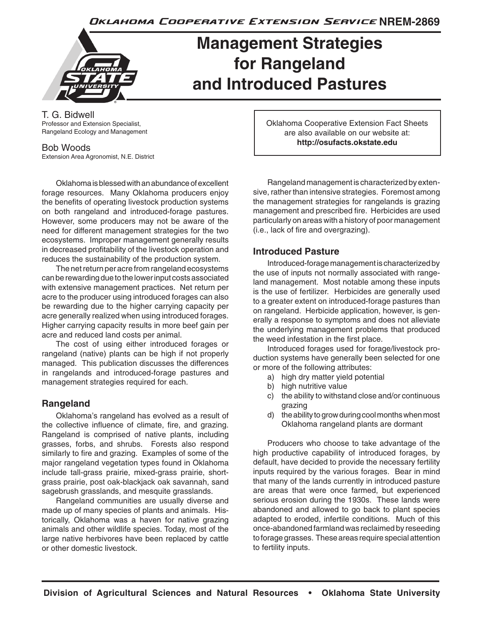Oklahoma Cooperative Extension Service NREM-2869

# **Management Strategies for Rangeland and Introduced Pastures**

T. G. Bidwell Professor and Extension Specialist, Rangeland Ecology and Management

#### Bob Woods

Extension Area Agronomist, N.E. District

Oklahoma is blessed with an abundance of excellent forage resources. Many Oklahoma producers enjoy the benefits of operating livestock production systems on both rangeland and introduced-forage pastures. However, some producers may not be aware of the need for different management strategies for the two ecosystems. Improper management generally results in decreased profitability of the livestock operation and reduces the sustainability of the production system.

The net return per acre from rangeland ecosystems can be rewarding due to the lower input costs associated with extensive management practices. Net return per acre to the producer using introduced forages can also be rewarding due to the higher carrying capacity per acre generally realized when using introduced forages. Higher carrying capacity results in more beef gain per acre and reduced land costs per animal.

The cost of using either introduced forages or rangeland (native) plants can be high if not properly managed. This publication discusses the differences in rangelands and introduced-forage pastures and management strategies required for each.

### **Rangeland**

Oklahoma's rangeland has evolved as a result of the collective influence of climate, fire, and grazing. Rangeland is comprised of native plants, including grasses, forbs, and shrubs. Forests also respond similarly to fire and grazing. Examples of some of the major rangeland vegetation types found in Oklahoma include tall-grass prairie, mixed-grass prairie, shortgrass prairie, post oak-blackjack oak savannah, sand sagebrush grasslands, and mesquite grasslands.

Rangeland communities are usually diverse and made up of many species of plants and animals. Historically, Oklahoma was a haven for native grazing animals and other wildlife species. Today, most of the large native herbivores have been replaced by cattle or other domestic livestock.

Oklahoma Cooperative Extension Fact Sheets are also available on our website at: **http://osufacts.okstate.edu**

Rangeland management is characterized by extensive, rather than intensive strategies. Foremost among the management strategies for rangelands is grazing management and prescribed fire. Herbicides are used particularly on areas with a history of poor management (i.e., lack of fire and overgrazing).

### **Introduced Pasture**

Introduced-forage management is characterized by the use of inputs not normally associated with rangeland management. Most notable among these inputs is the use of fertilizer. Herbicides are generally used to a greater extent on introduced-forage pastures than on rangeland. Herbicide application, however, is generally a response to symptoms and does not alleviate the underlying management problems that produced the weed infestation in the first place.

Introduced forages used for forage/livestock production systems have generally been selected for one or more of the following attributes:

- a) high dry matter yield potential
- b) high nutritive value
- c) the ability to withstand close and/or continuous grazing
- d) the ability to grow during cool months when most Oklahoma rangeland plants are dormant

Producers who choose to take advantage of the high productive capability of introduced forages, by default, have decided to provide the necessary fertility inputs required by the various forages. Bear in mind that many of the lands currently in introduced pasture are areas that were once farmed, but experienced serious erosion during the 1930s. These lands were abandoned and allowed to go back to plant species adapted to eroded, infertile conditions. Much of this once-abandoned farmland was reclaimed by reseeding to forage grasses. These areas require special attention to fertility inputs.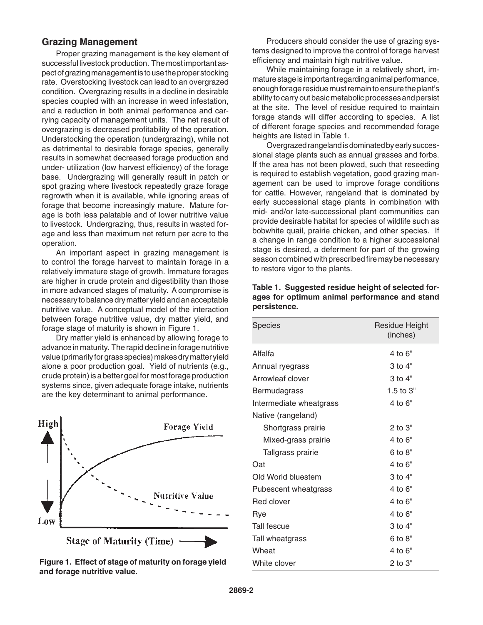#### **Grazing Management**

Proper grazing management is the key element of successful livestock production. The most important aspect of grazing management is to use the proper stocking rate. Overstocking livestock can lead to an overgrazed condition. Overgrazing results in a decline in desirable species coupled with an increase in weed infestation, and a reduction in both animal performance and carrying capacity of management units. The net result of overgrazing is decreased profitability of the operation. Understocking the operation (undergrazing), while not as detrimental to desirable forage species, generally results in somewhat decreased forage production and under- utilization (low harvest efficiency) of the forage base. Undergrazing will generally result in patch or spot grazing where livestock repeatedly graze forage regrowth when it is available, while ignoring areas of forage that become increasingly mature. Mature forage is both less palatable and of lower nutritive value to livestock. Undergrazing, thus, results in wasted forage and less than maximum net return per acre to the operation.

An important aspect in grazing management is to control the forage harvest to maintain forage in a relatively immature stage of growth. Immature forages are higher in crude protein and digestibility than those in more advanced stages of maturity. A compromise is necessary to balance dry matter yield and an acceptable nutritive value. A conceptual model of the interaction between forage nutritive value, dry matter yield, and forage stage of maturity is shown in Figure 1.

Dry matter yield is enhanced by allowing forage to advance in maturity. The rapid decline in forage nutritive value (primarily for grass species) makes dry matter yield alone a poor production goal. Yield of nutrients (e.g., crude protein) is a better goal for most forage production systems since, given adequate forage intake, nutrients are the key determinant to animal performance.



**Figure 1. Effect of stage of maturity on forage yield and forage nutritive value.**

Producers should consider the use of grazing systems designed to improve the control of forage harvest efficiency and maintain high nutritive value.

While maintaining forage in a relatively short, immature stage is important regarding animal performance, enough forage residue must remain to ensure the plant's ability to carry out basic metabolic processes and persist at the site. The level of residue required to maintain forage stands will differ according to species. A list of different forage species and recommended forage heights are listed in Table 1.

Overgrazed rangeland is dominated by early successional stage plants such as annual grasses and forbs. If the area has not been plowed, such that reseeding is required to establish vegetation, good grazing management can be used to improve forage conditions for cattle. However, rangeland that is dominated by early successional stage plants in combination with mid- and/or late-successional plant communities can provide desirable habitat for species of wildlife such as bobwhite quail, prairie chicken, and other species. If a change in range condition to a higher successional stage is desired, a deferment for part of the growing season combined with prescribed fire may be necessary to restore vigor to the plants.

| <b>Species</b>          | Residue Height<br>(inches) |
|-------------------------|----------------------------|
| Alfalfa                 | 4 to 6"                    |
| Annual ryegrass         | 3 to 4"                    |
| Arrowleaf clover        | 3 to 4"                    |
| Bermudagrass            | 1.5 to $3"$                |
| Intermediate wheatgrass | 4 to 6"                    |
| Native (rangeland)      |                            |
| Shortgrass prairie      | $2$ to $3"$                |
| Mixed-grass prairie     | 4 to 6"                    |
| Tallgrass prairie       | 6 to 8"                    |
| Oat                     | 4 to 6"                    |
| Old World bluestem      | $3$ to $4"$                |
| Pubescent wheatgrass    | 4 to 6"                    |
| Red clover              | 4 to 6"                    |
| Rye                     | 4 to 6"                    |
| Tall fescue             | $3$ to $4"$                |
| Tall wheatgrass         | 6 to 8"                    |
| Wheat                   | 4 to 6"                    |
| White clover            | $2$ to $3"$                |

|              | Table 1. Suggested residue height of selected for- |  |
|--------------|----------------------------------------------------|--|
|              | ages for optimum animal performance and stand      |  |
| persistence. |                                                    |  |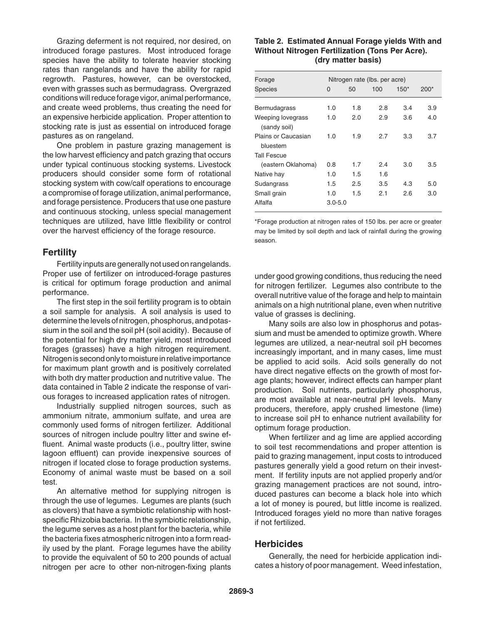Grazing deferment is not required, nor desired, on introduced forage pastures. Most introduced forage species have the ability to tolerate heavier stocking rates than rangelands and have the ability for rapid regrowth. Pastures, however, can be overstocked, even with grasses such as bermudagrass. Overgrazed conditions will reduce forage vigor, animal performance, and create weed problems, thus creating the need for an expensive herbicide application. Proper attention to stocking rate is just as essential on introduced forage pastures as on rangeland.

One problem in pasture grazing management is the low harvest efficiency and patch grazing that occurs under typical continuous stocking systems. Livestock producers should consider some form of rotational stocking system with cow/calf operations to encourage a compromise of forage utilization, animal performance, and forage persistence. Producers that use one pasture and continuous stocking, unless special management techniques are utilized, have little flexibility or control over the harvest efficiency of the forage resource.

#### **Fertility**

Fertility inputs are generally not used on rangelands. Proper use of fertilizer on introduced-forage pastures is critical for optimum forage production and animal performance.

The first step in the soil fertility program is to obtain a soil sample for analysis. A soil analysis is used to determine the levels of nitrogen, phosphorus, and potassium in the soil and the soil pH (soil acidity). Because of the potential for high dry matter yield, most introduced forages (grasses) have a high nitrogen requirement. Nitrogen is second only to moisture in relative importance for maximum plant growth and is positively correlated with both dry matter production and nutritive value. The data contained in Table 2 indicate the response of various forages to increased application rates of nitrogen.

Industrially supplied nitrogen sources, such as ammonium nitrate, ammonium sulfate, and urea are commonly used forms of nitrogen fertilizer. Additional sources of nitrogen include poultry litter and swine effluent. Animal waste products (i.e., poultry litter, swine lagoon effluent) can provide inexpensive sources of nitrogen if located close to forage production systems. Economy of animal waste must be based on a soil test.

An alternative method for supplying nitrogen is through the use of legumes. Legumes are plants (such as clovers) that have a symbiotic relationship with hostspecific Rhizobia bacteria. In the symbiotic relationship, the legume serves as a host plant for the bacteria, while the bacteria fixes atmospheric nitrogen into a form readily used by the plant. Forage legumes have the ability to provide the equivalent of 50 to 200 pounds of actual nitrogen per acre to other non-nitrogen-fixing plants

#### **Table 2. Estimated Annual Forage yields With and Without Nitrogen Fertilization (Tons Per Acre). (dry matter basis)**

| Forage                            | Nitrogen rate (lbs. per acre) |     |     |        |        |
|-----------------------------------|-------------------------------|-----|-----|--------|--------|
| <b>Species</b>                    | 0                             | 50  | 100 | $150*$ | $200*$ |
|                                   |                               |     |     |        |        |
| Bermudagrass                      | 1.0                           | 1.8 | 2.8 | 3.4    | 3.9    |
| Weeping lovegrass<br>(sandy soil) | 1.0                           | 2.0 | 2.9 | 3.6    | 4.0    |
| Plains or Caucasian<br>bluestem   | 1.0                           | 1.9 | 2.7 | 3.3    | 3.7    |
| <b>Tall Fescue</b>                |                               |     |     |        |        |
| (eastern Oklahoma)                | 0.8                           | 1.7 | 2.4 | 3.0    | 3.5    |
| Native hay                        | 1.0                           | 1.5 | 1.6 |        |        |
| Sudangrass                        | 1.5                           | 2.5 | 3.5 | 4.3    | 5.0    |
| Small grain                       | 1.0                           | 1.5 | 2.1 | 2.6    | 3.0    |
| Alfalfa                           | $3.0 - 5.0$                   |     |     |        |        |

\*Forage production at nitrogen rates of 150 lbs. per acre or greater may be limited by soil depth and lack of rainfall during the growing season.

under good growing conditions, thus reducing the need for nitrogen fertilizer. Legumes also contribute to the overall nutritive value of the forage and help to maintain animals on a high nutritional plane, even when nutritive value of grasses is declining.

Many soils are also low in phosphorus and potassium and must be amended to optimize growth. Where legumes are utilized, a near-neutral soil pH becomes increasingly important, and in many cases, lime must be applied to acid soils. Acid soils generally do not have direct negative effects on the growth of most forage plants; however, indirect effects can hamper plant production. Soil nutrients, particularly phosphorus, are most available at near-neutral pH levels. Many producers, therefore, apply crushed limestone (lime) to increase soil pH to enhance nutrient availability for optimum forage production.

When fertilizer and ag lime are applied according to soil test recommendations and proper attention is paid to grazing management, input costs to introduced pastures generally yield a good return on their investment. If fertility inputs are not applied properly and/or grazing management practices are not sound, introduced pastures can become a black hole into which a lot of money is poured, but little income is realized. Introduced forages yield no more than native forages if not fertilized.

#### **Herbicides**

Generally, the need for herbicide application indicates a history of poor management. Weed infestation,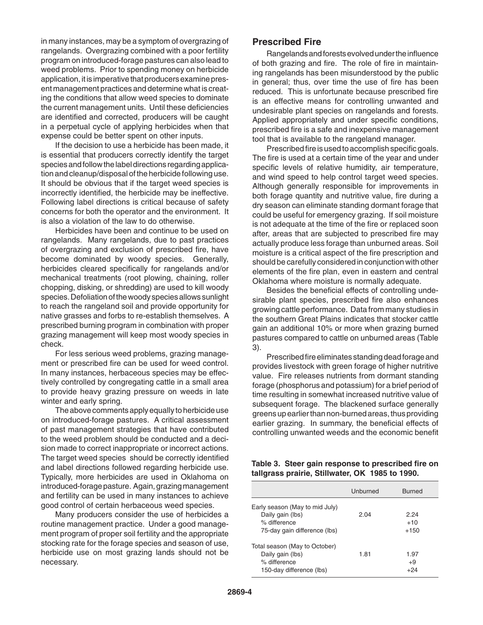in many instances, may be a symptom of overgrazing of rangelands. Overgrazing combined with a poor fertility program on introduced-forage pastures can also lead to weed problems. Prior to spending money on herbicide application, it is imperative that producers examine present management practices and determine what is creating the conditions that allow weed species to dominate the current management units. Until these deficiencies are identified and corrected, producers will be caught in a perpetual cycle of applying herbicides when that expense could be better spent on other inputs.

If the decision to use a herbicide has been made, it is essential that producers correctly identify the target species and follow the label directions regarding application and cleanup/disposal of the herbicide following use. It should be obvious that if the target weed species is incorrectly identified, the herbicide may be ineffective. Following label directions is critical because of safety concerns for both the operator and the environment. It is also a violation of the law to do otherwise.

Herbicides have been and continue to be used on rangelands. Many rangelands, due to past practices of overgrazing and exclusion of prescribed fire, have become dominated by woody species. Generally, herbicides cleared specifically for rangelands and/or mechanical treatments (root plowing, chaining, roller chopping, disking, or shredding) are used to kill woody species. Defoliation of the woody species allows sunlight to reach the rangeland soil and provide opportunity for native grasses and forbs to re-establish themselves. A prescribed burning program in combination with proper grazing management will keep most woody species in check.

For less serious weed problems, grazing management or prescribed fire can be used for weed control. In many instances, herbaceous species may be effectively controlled by congregating cattle in a small area to provide heavy grazing pressure on weeds in late winter and early spring.

The above comments apply equally to herbicide use on introduced-forage pastures. A critical assessment of past management strategies that have contributed to the weed problem should be conducted and a decision made to correct inappropriate or incorrect actions. The target weed species should be correctly identified and label directions followed regarding herbicide use. Typically, more herbicides are used in Oklahoma on introduced-forage pasture. Again, grazing management and fertility can be used in many instances to achieve good control of certain herbaceous weed species.

Many producers consider the use of herbicides a routine management practice. Under a good management program of proper soil fertility and the appropriate stocking rate for the forage species and season of use, herbicide use on most grazing lands should not be necessary.

#### **Prescribed Fire**

Rangelands and forests evolved under the influence of both grazing and fire. The role of fire in maintaining rangelands has been misunderstood by the public in general; thus, over time the use of fire has been reduced. This is unfortunate because prescribed fire is an effective means for controlling unwanted and undesirable plant species on rangelands and forests. Applied appropriately and under specific conditions, prescribed fire is a safe and inexpensive management tool that is available to the rangeland manager.

Prescribed fire is used to accomplish specific goals. The fire is used at a certain time of the year and under specific levels of relative humidity, air temperature, and wind speed to help control target weed species. Although generally responsible for improvements in both forage quantity and nutritive value, fire during a dry season can eliminate standing dormant forage that could be useful for emergency grazing. If soil moisture is not adequate at the time of the fire or replaced soon after, areas that are subjected to prescribed fire may actually produce less forage than unburned areas. Soil moisture is a critical aspect of the fire prescription and should be carefully considered in conjunction with other elements of the fire plan, even in eastern and central Oklahoma where moisture is normally adequate.

Besides the beneficial effects of controlling undesirable plant species, prescribed fire also enhances growing cattle performance. Data from many studies in the southern Great Plains indicates that stocker cattle gain an additional 10% or more when grazing burned pastures compared to cattle on unburned areas (Table 3).

Prescribed fire eliminates standing dead forage and provides livestock with green forage of higher nutritive value. Fire releases nutrients from dormant standing forage (phosphorus and potassium) for a brief period of time resulting in somewhat increased nutritive value of subsequent forage. The blackened surface generally greens up earlier than non-burned areas, thus providing earlier grazing. In summary, the beneficial effects of controlling unwanted weeds and the economic benefit

#### **Table 3. Steer gain response to prescribed fire on tallgrass prairie, Stillwater, OK 1985 to 1990.**

|                                                                                                    | Unburned | <b>Burned</b>           |
|----------------------------------------------------------------------------------------------------|----------|-------------------------|
| Early season (May to mid July)<br>Daily gain (lbs)<br>% difference<br>75-day gain difference (lbs) | 2.04     | 2.24<br>$+10$<br>$+150$ |
| Total season (May to October)<br>Daily gain (lbs)<br>% difference<br>150-day difference (lbs)      | 1.81     | 1.97<br>$+9$<br>+24     |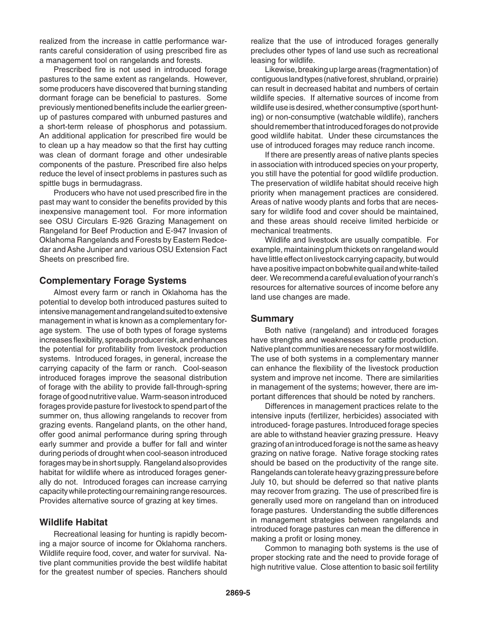realized from the increase in cattle performance warrants careful consideration of using prescribed fire as a management tool on rangelands and forests.

Prescribed fire is not used in introduced forage pastures to the same extent as rangelands. However, some producers have discovered that burning standing dormant forage can be beneficial to pastures. Some previously mentioned benefits include the earlier greenup of pastures compared with unburned pastures and a short-term release of phosphorus and potassium. An additional application for prescribed fire would be to clean up a hay meadow so that the first hay cutting was clean of dormant forage and other undesirable components of the pasture. Prescribed fire also helps reduce the level of insect problems in pastures such as spittle bugs in bermudagrass.

Producers who have not used prescribed fire in the past may want to consider the benefits provided by this inexpensive management tool. For more information see OSU Circulars E-926 Grazing Management on Rangeland for Beef Production and E-947 Invasion of Oklahoma Rangelands and Forests by Eastern Redcedar and Ashe Juniper and various OSU Extension Fact Sheets on prescribed fire.

#### **Complementary Forage Systems**

Almost every farm or ranch in Oklahoma has the potential to develop both introduced pastures suited to intensive management and rangeland suited to extensive management in what is known as a complementary forage system. The use of both types of forage systems increases flexibility, spreads producer risk, and enhances the potential for profitability from livestock production systems. Introduced forages, in general, increase the carrying capacity of the farm or ranch. Cool-season introduced forages improve the seasonal distribution of forage with the ability to provide fall-through-spring forage of good nutritive value. Warm-season introduced forages provide pasture for livestock to spend part of the summer on, thus allowing rangelands to recover from grazing events. Rangeland plants, on the other hand, offer good animal performance during spring through early summer and provide a buffer for fall and winter during periods of drought when cool-season introduced forages may be in short supply. Rangeland also provides habitat for wildlife where as introduced forages generally do not. Introduced forages can increase carrying capacity while protecting our remaining range resources. Provides alternative source of grazing at key times.

#### **Wildlife Habitat**

Recreational leasing for hunting is rapidly becoming a major source of income for Oklahoma ranchers. Wildlife require food, cover, and water for survival. Native plant communities provide the best wildlife habitat for the greatest number of species. Ranchers should

realize that the use of introduced forages generally precludes other types of land use such as recreational leasing for wildlife.

Likewise, breaking up large areas (fragmentation) of contiguous land types (native forest, shrubland, or prairie) can result in decreased habitat and numbers of certain wildlife species. If alternative sources of income from wildlife use is desired, whether consumptive (sport hunting) or non-consumptive (watchable wildlife), ranchers should remember that introduced forages do not provide good wildlife habitat. Under these circumstances the use of introduced forages may reduce ranch income.

If there are presently areas of native plants species in association with introduced species on your property, you still have the potential for good wildlife production. The preservation of wildlife habitat should receive high priority when management practices are considered. Areas of native woody plants and forbs that are necessary for wildlife food and cover should be maintained, and these areas should receive limited herbicide or mechanical treatments.

Wildlife and livestock are usually compatible. For example, maintaining plum thickets on rangeland would have little effect on livestock carrying capacity, but would have a positive impact on bobwhite quail and white-tailed deer. We recommend a careful evaluation of your ranch's resources for alternative sources of income before any land use changes are made.

#### **Summary**

Both native (rangeland) and introduced forages have strengths and weaknesses for cattle production. Native plant communities are necessary for most wildlife. The use of both systems in a complementary manner can enhance the flexibility of the livestock production system and improve net income. There are similarities in management of the systems; however, there are important differences that should be noted by ranchers.

Differences in management practices relate to the intensive inputs (fertilizer, herbicides) associated with introduced- forage pastures. Introduced forage species are able to withstand heavier grazing pressure. Heavy grazing of an introduced forage is not the same as heavy grazing on native forage. Native forage stocking rates should be based on the productivity of the range site. Rangelands can tolerate heavy grazing pressure before July 10, but should be deferred so that native plants may recover from grazing. The use of prescribed fire is generally used more on rangeland than on introduced forage pastures. Understanding the subtle differences in management strategies between rangelands and introduced forage pastures can mean the difference in making a profit or losing money.

Common to managing both systems is the use of proper stocking rate and the need to provide forage of high nutritive value. Close attention to basic soil fertility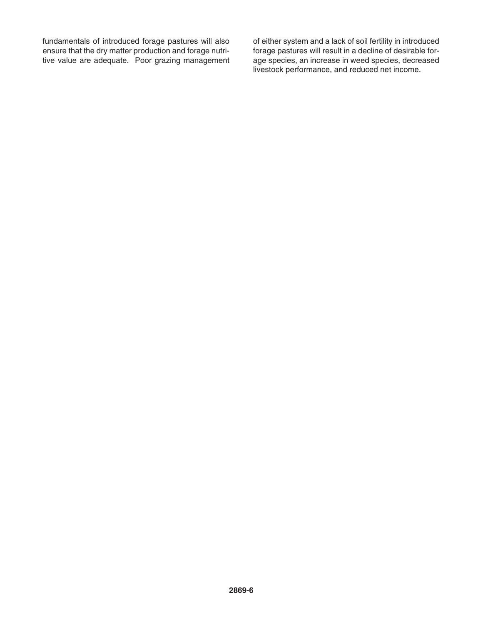fundamentals of introduced forage pastures will also ensure that the dry matter production and forage nutritive value are adequate. Poor grazing management of either system and a lack of soil fertility in introduced forage pastures will result in a decline of desirable forage species, an increase in weed species, decreased livestock performance, and reduced net income.